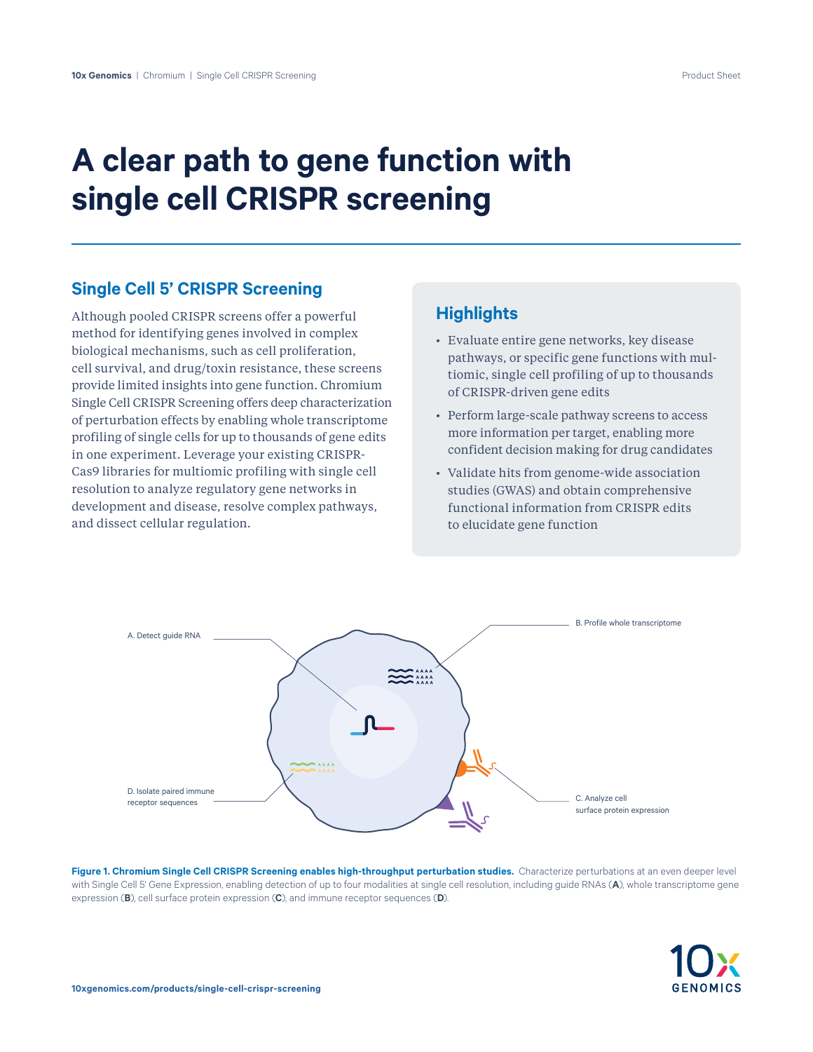# **A clear path to gene function with single cell CRISPR screening**

#### **Single Cell 5' CRISPR Screening**

Although pooled CRISPR screens offer a powerful method for identifying genes involved in complex biological mechanisms, such as cell proliferation, cell survival, and drug/toxin resistance, these screens provide limited insights into gene function. Chromium Single Cell CRISPR Screening offers deep characterization of perturbation effects by enabling whole transcriptome profiling of single cells for up to thousands of gene edits in one experiment. Leverage your existing CRISPR-Cas9 libraries for multiomic profiling with single cell resolution to analyze regulatory gene networks in development and disease, resolve complex pathways, and dissect cellular regulation.

## **Highlights**

- Evaluate entire gene networks, key disease pathways, or specific gene functions with multiomic, single cell profiling of up to thousands of CRISPR-driven gene edits
- Perform large-scale pathway screens to access more information per target, enabling more confident decision making for drug candidates
- Validate hits from genome-wide association studies (GWAS) and obtain comprehensive functional information from CRISPR edits to elucidate gene function



Figure 1. Chromium Single Cell CRISPR Screening enables high-throughput perturbation studies. Characterize perturbations at an even deeper level with Single Cell 5' Gene Expression, enabling detection of up to four modalities at single cell resolution, including guide RNAs (**A**), whole transcriptome gene expression (**B**), cell surface protein expression (**C**), and immune receptor sequences (**D**).

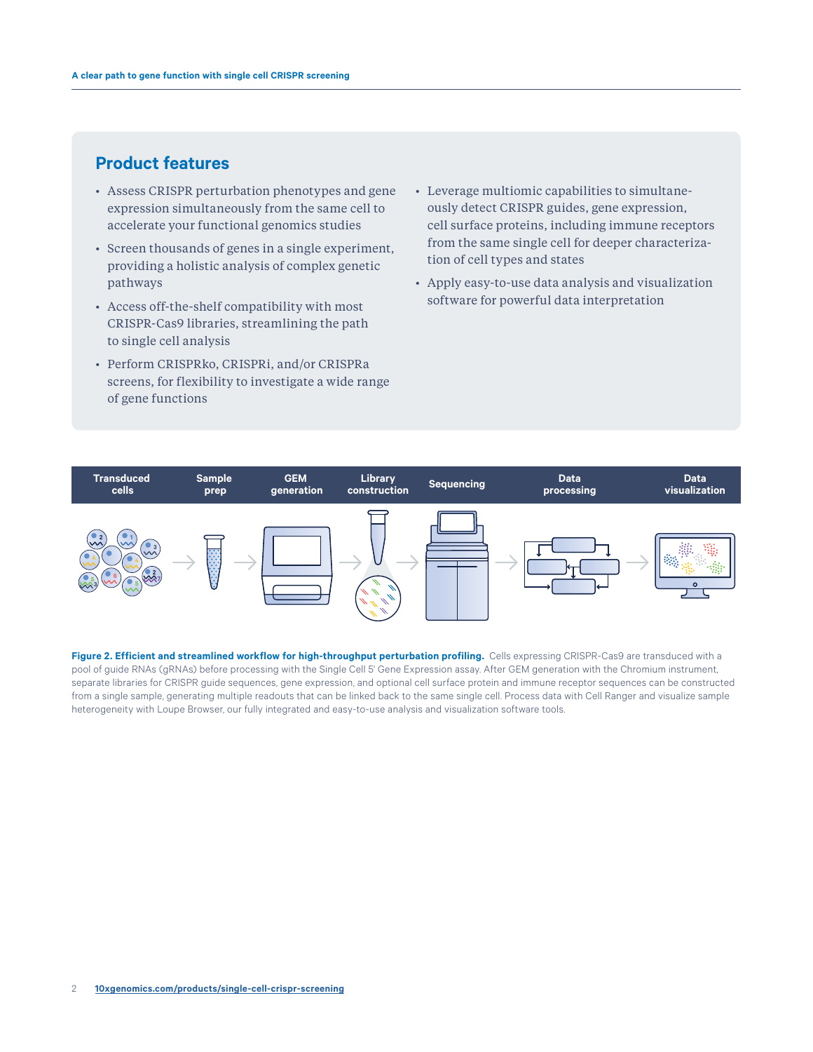## **Product features**

- Assess CRISPR perturbation phenotypes and gene expression simultaneously from the same cell to accelerate your functional genomics studies
- Screen thousands of genes in a single experiment, providing a holistic analysis of complex genetic pathways
- Access off-the-shelf compatibility with most CRISPR-Cas9 libraries, streamlining the path to single cell analysis
- Perform CRISPRko, CRISPRi, and/or CRISPRa screens, for flexibility to investigate a wide range of gene functions
- Leverage multiomic capabilities to simultaneously detect CRISPR guides, gene expression, cell surface proteins, including immune receptors from the same single cell for deeper characterization of cell types and states
- Apply easy-to-use data analysis and visualization software for powerful data interpretation



Figure 2. Efficient and streamlined workflow for high-throughput perturbation profiling. Cells expressing CRISPR-Cas9 are transduced with a pool of guide RNAs (gRNAs) before processing with the Single Cell 5' Gene Expression assay. After GEM generation with the Chromium instrument, separate libraries for CRISPR guide sequences, gene expression, and optional cell surface protein and immune receptor sequences can be constructed from a single sample, generating multiple readouts that can be linked back to the same single cell. Process data with Cell Ranger and visualize sample heterogeneity with Loupe Browser, our fully integrated and easy-to-use analysis and visualization software tools.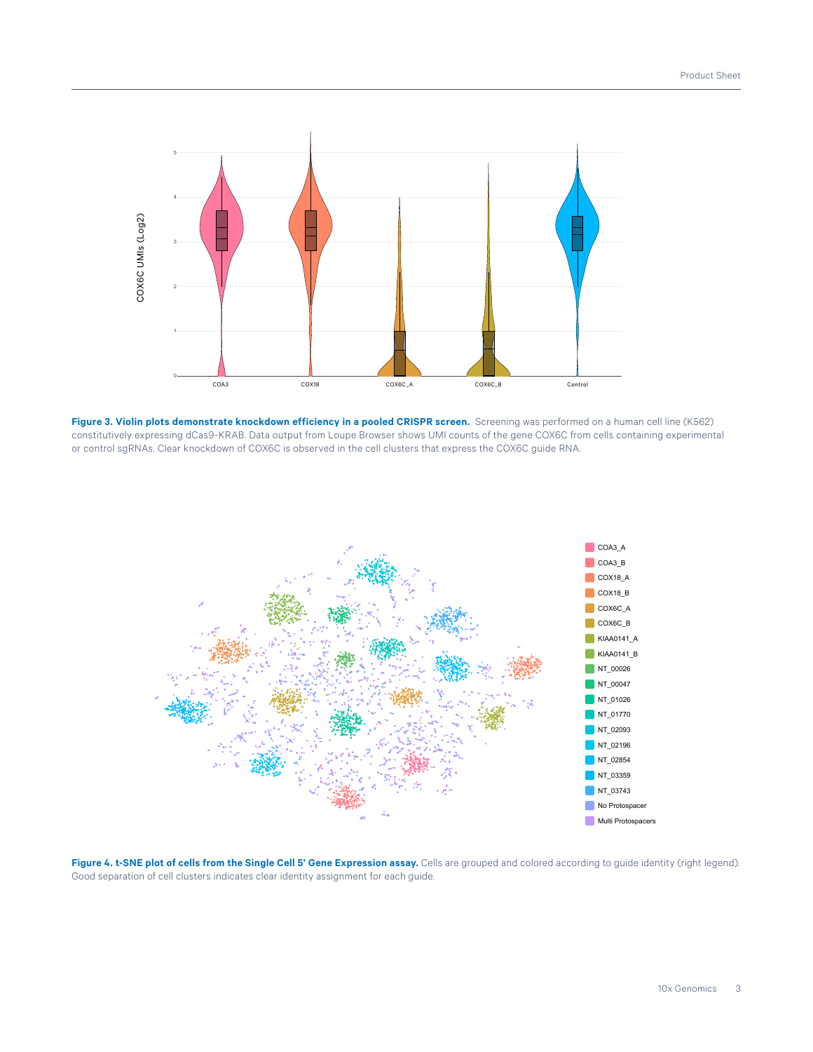

**Figure 3. Violin plots demonstrate knockdown efficiency in a pooled CRISPR screen.** Screening was performed on a human cell line (K562) constitutively expressing dCas9-KRAB. Data output from Loupe Browser shows UMI counts of the gene COX6C from cells containing experimental or control sgRNAs. Clear knockdown of COX6C is observed in the cell clusters that express the COX6C guide RNA.



**Figure 4. t-SNE plot of cells from the Single Cell 5' Gene Expression assay.** Cells are grouped and colored according to guide identity (right legend). Good separation of cell clusters indicates clear identity assignment for each guide.